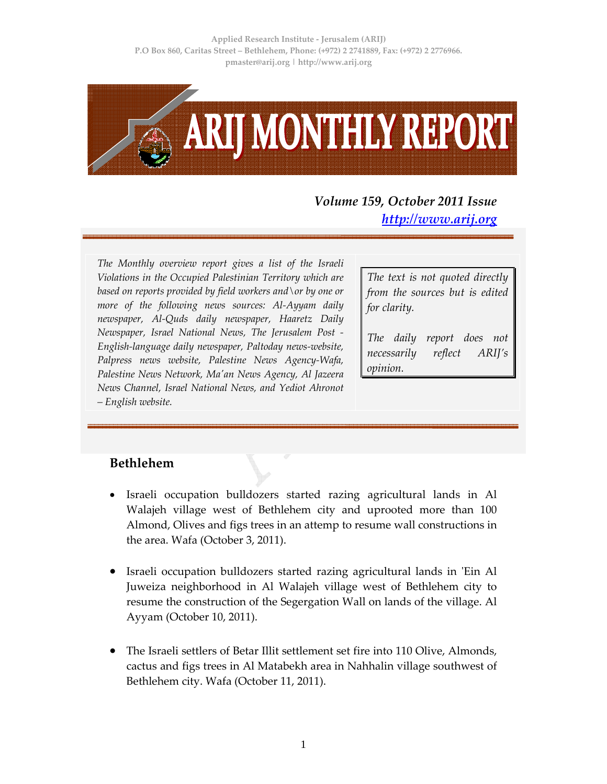

## *Volume 159, October 2011 Issue http://www.arij.org*

*The Monthly overview report gives a list of the Israeli Violations in the Occupied Palestinian Territory which are based on reports provided by field workers and\or by one or more of the following news sources: Al‐Ayyam daily newspaper, Al‐Quds daily newspaper, Haaretz Daily Newspaper, Israel National News, The Jerusalem Post ‐ English‐language daily newspaper, Paltoday news‐website, Palpress news website, Palestine News Agency‐Wafa, Palestine News Network, Maʹan News Agency, Al Jazeera News Channel, Israel National News, and Yediot Ahronot – English website.*

*The text is not quoted directly from the sources but is edited for clarity.*

*The daily report does not necessarily reflect ARIJ's opinion.*

## **Bethlehem**

- Israeli occupation bulldozers started razing agricultural lands in Al Walajeh village west of Bethlehem city and uprooted more than 100 Almond, Olives and figs trees in an attemp to resume wall constructions in the area. Wafa (October 3, 2011).
- Israeli occupation bulldozers started razing agricultural lands in ʹEin Al Juweiza neighborhood in Al Walajeh village west of Bethlehem city to resume the construction of the Segergation Wall on lands of the village. Al Ayyam (October 10, 2011).
- The Israeli settlers of Betar Illit settlement set fire into 110 Olive, Almonds, cactus and figs trees in Al Matabekh area in Nahhalin village southwest of Bethlehem city. Wafa (October 11, 2011).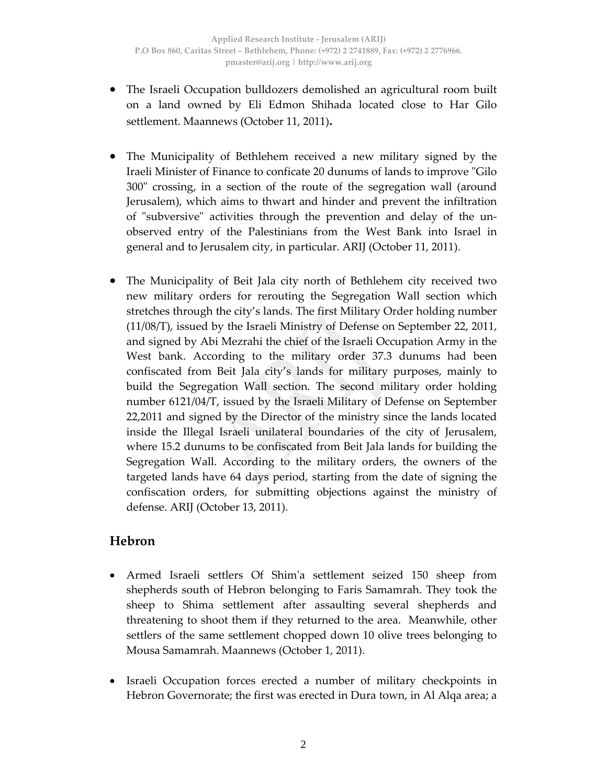- The Israeli Occupation bulldozers demolished an agricultural room built on a land owned by Eli Edmon Shihada located close to Har Gilo settlement. Maannews (October 11, 2011)**.**
- The Municipality of Bethlehem received a new military signed by the Iraeli Minister of Finance to conficate 20 dunums of lands to improve "Gilo" 300ʺ crossing, in a section of the route of the segregation wall (around Jerusalem), which aims to thwart and hinder and prevent the infiltration of "subversive" activities through the prevention and delay of the unobserved entry of the Palestinians from the West Bank into Israel in general and to Jerusalem city, in particular. ARIJ (October 11, 2011).
- The Municipality of Beit Jala city north of Bethlehem city received two new military orders for rerouting the Segregation Wall section which stretches through the city's lands. The first Military Order holding number (11/08/T), issued by the Israeli Ministry of Defense on September 22, 2011, and signed by Abi Mezrahi the chief of the Israeli Occupation Army in the West bank. According to the military order 37.3 dunums had been confiscated from Beit Jala city's lands for military purposes, mainly to build the Segregation Wall section. The second military order holding number 6121/04/T, issued by the Israeli Military of Defense on September 22,2011 and signed by the Director of the ministry since the lands located inside the Illegal Israeli unilateral boundaries of the city of Jerusalem, where 15.2 dunums to be confiscated from Beit Jala lands for building the Segregation Wall. According to the military orders, the owners of the targeted lands have 64 days period, starting from the date of signing the confiscation orders, for submitting objections against the ministry of defense. ARIJ (October 13, 2011).

## **Hebron**

- Armed Israeli settlers Of Shimʹa settlement seized 150 sheep from shepherds south of Hebron belonging to Faris Samamrah. They took the sheep to Shima settlement after assaulting several shepherds and threatening to shoot them if they returned to the area. Meanwhile, other settlers of the same settlement chopped down 10 olive trees belonging to Mousa Samamrah. Maannews (October 1, 2011).
- Israeli Occupation forces erected a number of military checkpoints in Hebron Governorate; the first was erected in Dura town, in Al Alqa area; a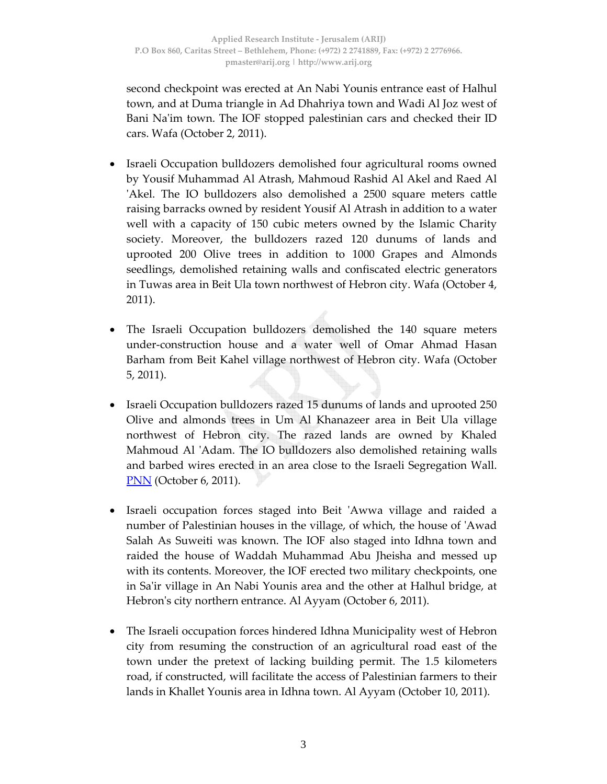second checkpoint was erected at An Nabi Younis entrance east of Halhul town, and at Duma triangle in Ad Dhahriya town and Wadi Al Joz west of Bani Na'im town. The IOF stopped palestinian cars and checked their ID cars. Wafa (October 2, 2011).

- Israeli Occupation bulldozers demolished four agricultural rooms owned by Yousif Muhammad Al Atrash, Mahmoud Rashid Al Akel and Raed Al ʹAkel. The IO bulldozers also demolished a 2500 square meters cattle raising barracks owned by resident Yousif Al Atrash in addition to a water well with a capacity of 150 cubic meters owned by the Islamic Charity society. Moreover, the bulldozers razed 120 dunums of lands and uprooted 200 Olive trees in addition to 1000 Grapes and Almonds seedlings, demolished retaining walls and confiscated electric generators in Tuwas area in Beit Ula town northwest of Hebron city. Wafa (October 4, 2011).
- The Israeli Occupation bulldozers demolished the 140 square meters under‐construction house and a water well of Omar Ahmad Hasan Barham from Beit Kahel village northwest of Hebron city. Wafa (October 5, 2011).
- Israeli Occupation bulldozers razed 15 dunums of lands and uprooted 250 Olive and almonds trees in Um Al Khanazeer area in Beit Ula village northwest of Hebron city. The razed lands are owned by Khaled Mahmoud Al 'Adam. The IO bulldozers also demolished retaining walls and barbed wires erected in an area close to the Israeli Segregation Wall. **PNN** (October 6, 2011).
- Israeli occupation forces staged into Beit ʹAwwa village and raided a number of Palestinian houses in the village, of which, the house of ʹAwad Salah As Suweiti was known. The IOF also staged into Idhna town and raided the house of Waddah Muhammad Abu Jheisha and messed up with its contents. Moreover, the IOF erected two military checkpoints, one in Sa'ir village in An Nabi Younis area and the other at Halhul bridge, at Hebron's city northern entrance. Al Ayyam (October 6, 2011).
- The Israeli occupation forces hindered Idhna Municipality west of Hebron city from resuming the construction of an agricultural road east of the town under the pretext of lacking building permit. The 1.5 kilometers road, if constructed, will facilitate the access of Palestinian farmers to their lands in Khallet Younis area in Idhna town. Al Ayyam (October 10, 2011).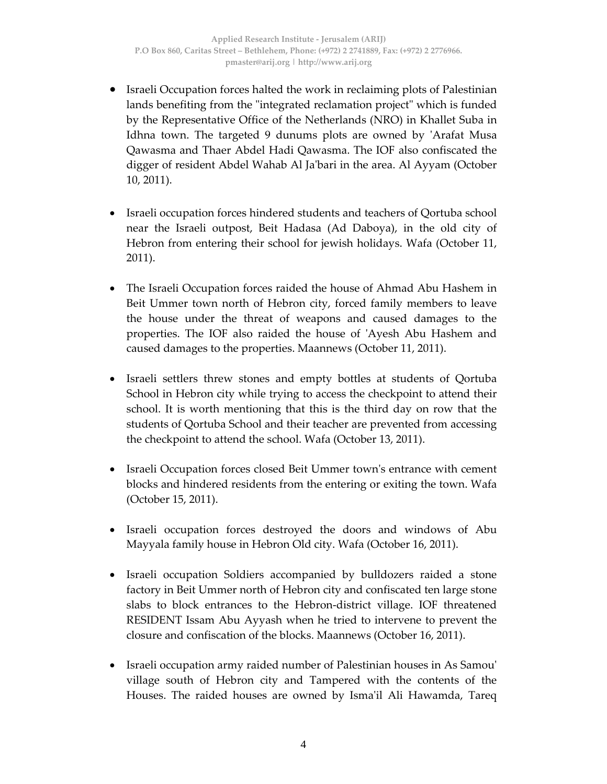- Israeli Occupation forces halted the work in reclaiming plots of Palestinian lands benefiting from the "integrated reclamation project" which is funded by the Representative Office of the Netherlands (NRO) in Khallet Suba in Idhna town. The targeted 9 dunums plots are owned by 'Arafat Musa Qawasma and Thaer Abdel Hadi Qawasma. The IOF also confiscated the digger of resident Abdel Wahab Al Ja'bari in the area. Al Ayyam (October 10, 2011).
- Israeli occupation forces hindered students and teachers of Qortuba school near the Israeli outpost, Beit Hadasa (Ad Daboya), in the old city of Hebron from entering their school for jewish holidays. Wafa (October 11, 2011).
- The Israeli Occupation forces raided the house of Ahmad Abu Hashem in Beit Ummer town north of Hebron city, forced family members to leave the house under the threat of weapons and caused damages to the properties. The IOF also raided the house of ʹAyesh Abu Hashem and caused damages to the properties. Maannews (October 11, 2011).
- Israeli settlers threw stones and empty bottles at students of Qortuba School in Hebron city while trying to access the checkpoint to attend their school. It is worth mentioning that this is the third day on row that the students of Qortuba School and their teacher are prevented from accessing the checkpoint to attend the school. Wafa (October 13, 2011).
- Israeli Occupation forces closed Beit Ummer town's entrance with cement blocks and hindered residents from the entering or exiting the town. Wafa (October 15, 2011).
- Israeli occupation forces destroyed the doors and windows of Abu Mayyala family house in Hebron Old city. Wafa (October 16, 2011).
- Israeli occupation Soldiers accompanied by bulldozers raided a stone factory in Beit Ummer north of Hebron city and confiscated ten large stone slabs to block entrances to the Hebron‐district village. IOF threatened RESIDENT Issam Abu Ayyash when he tried to intervene to prevent the closure and confiscation of the blocks. Maannews (October 16, 2011).
- Israeli occupation army raided number of Palestinian houses in As Samouʹ village south of Hebron city and Tampered with the contents of the Houses. The raided houses are owned by Isma'il Ali Hawamda, Tareq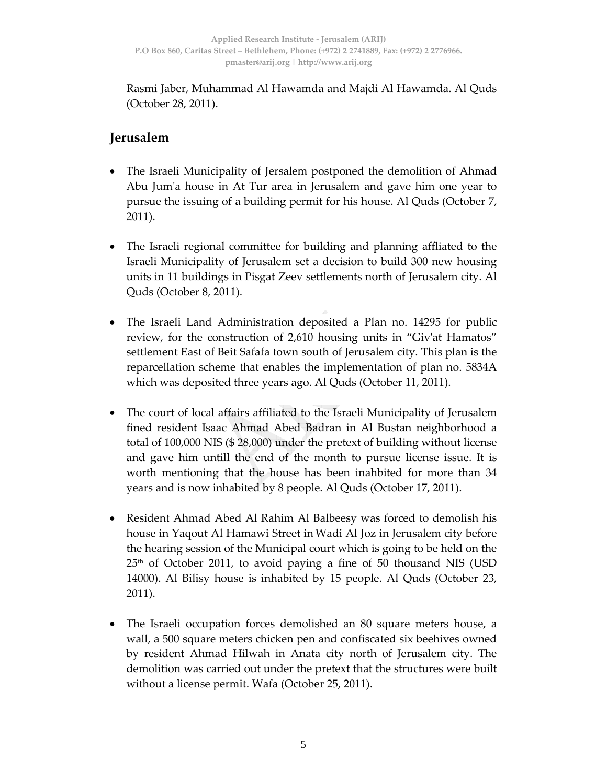Rasmi Jaber, Muhammad Al Hawamda and Majdi Al Hawamda. Al Quds (October 28, 2011).

## **Jerusalem**

- The Israeli Municipality of Jersalem postponed the demolition of Ahmad Abu Jumʹa house in At Tur area in Jerusalem and gave him one year to pursue the issuing of a building permit for his house. Al Quds (October 7, 2011).
- The Israeli regional committee for building and planning affliated to the Israeli Municipality of Jerusalem set a decision to build 300 new housing units in 11 buildings in Pisgat Zeev settlements north of Jerusalem city. Al Quds (October 8, 2011).
- The Israeli Land Administration deposited a Plan no. 14295 for public review, for the construction of 2,610 housing units in "Giv'at Hamatos" settlement East of Beit Safafa town south of Jerusalem city. This plan is the reparcellation scheme that enables the implementation of plan no. 5834A which was deposited three years ago. Al Quds (October 11, 2011).
- The court of local affairs affiliated to the Israeli Municipality of Jerusalem fined resident Isaac Ahmad Abed Badran in Al Bustan neighborhood a total of 100,000 NIS (\$ 28,000) under the pretext of building without license and gave him untill the end of the month to pursue license issue. It is worth mentioning that the house has been inahbited for more than 34 years and is now inhabited by 8 people. Al Quds (October 17, 2011).
- Resident Ahmad Abed Al Rahim Al Balbeesy was forced to demolish his house in Yaqout Al Hamawi Street in Wadi Al Joz in Jerusalem city before the hearing session of the Municipal court which is going to be held on the  $25<sup>th</sup>$  of October 2011, to avoid paying a fine of 50 thousand NIS (USD 14000). Al Bilisy house is inhabited by 15 people. Al Quds (October 23, 2011).
- The Israeli occupation forces demolished an 80 square meters house, a wall, a 500 square meters chicken pen and confiscated six beehives owned by resident Ahmad Hilwah in Anata city north of Jerusalem city. The demolition was carried out under the pretext that the structures were built without a license permit. Wafa (October 25, 2011).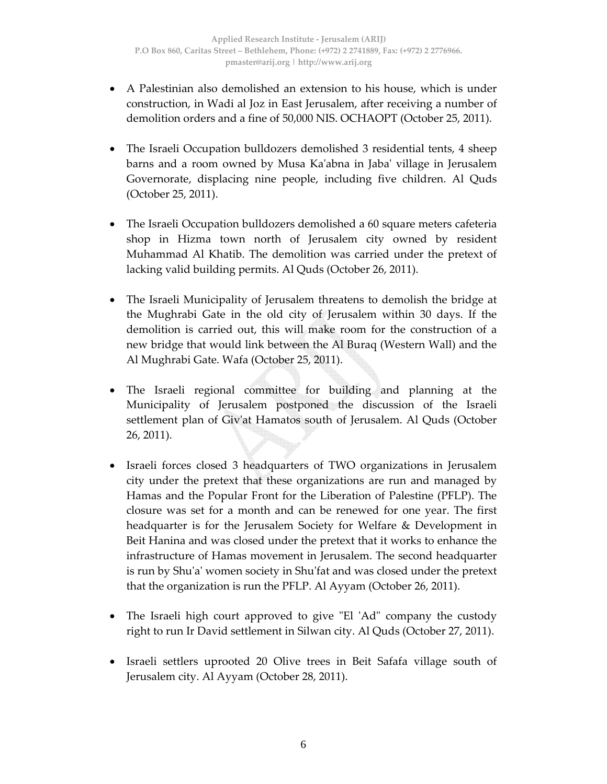- A Palestinian also demolished an extension to his house, which is under construction, in Wadi al Joz in East Jerusalem, after receiving a number of demolition orders and a fine of 50,000 NIS. OCHAOPT (October 25, 2011).
- The Israeli Occupation bulldozers demolished 3 residential tents, 4 sheep barns and a room owned by Musa Kaʹabna in Jabaʹ village in Jerusalem Governorate, displacing nine people, including five children. Al Quds (October 25, 2011).
- The Israeli Occupation bulldozers demolished a 60 square meters cafeteria shop in Hizma town north of Jerusalem city owned by resident Muhammad Al Khatib. The demolition was carried under the pretext of lacking valid building permits. Al Quds (October 26, 2011).
- The Israeli Municipality of Jerusalem threatens to demolish the bridge at the Mughrabi Gate in the old city of Jerusalem within 30 days. If the demolition is carried out, this will make room for the construction of a new bridge that would link between the Al Buraq (Western Wall) and the Al Mughrabi Gate. Wafa (October 25, 2011).
- The Israeli regional committee for building and planning at the Municipality of Jerusalem postponed the discussion of the Israeli settlement plan of Givʹat Hamatos south of Jerusalem. Al Quds (October 26, 2011).
- Israeli forces closed 3 headquarters of TWO organizations in Jerusalem city under the pretext that these organizations are run and managed by Hamas and the Popular Front for the Liberation of Palestine (PFLP). The closure was set for a month and can be renewed for one year. The first headquarter is for the Jerusalem Society for Welfare & Development in Beit Hanina and was closed under the pretext that it works to enhance the infrastructure of Hamas movement in Jerusalem. The second headquarter is run by Shu'a' women society in Shu'fat and was closed under the pretext that the organization is run the PFLP. Al Ayyam (October 26, 2011).
- The Israeli high court approved to give "El 'Ad" company the custody right to run Ir David settlement in Silwan city. Al Quds (October 27, 2011).
- Israeli settlers uprooted 20 Olive trees in Beit Safafa village south of Jerusalem city. Al Ayyam (October 28, 2011).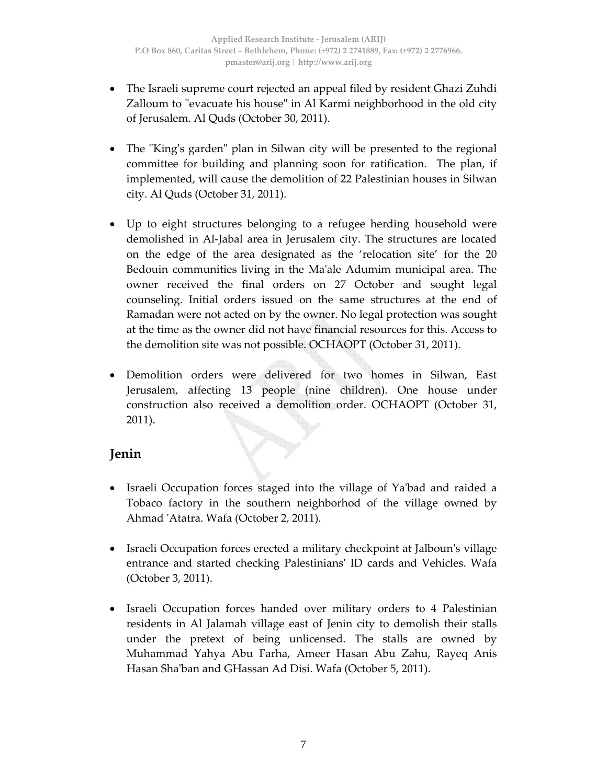- The Israeli supreme court rejected an appeal filed by resident Ghazi Zuhdi Zalloum to "evacuate his house" in Al Karmi neighborhood in the old city of Jerusalem. Al Quds (October 30, 2011).
- The "King's garden" plan in Silwan city will be presented to the regional committee for building and planning soon for ratification. The plan, if implemented, will cause the demolition of 22 Palestinian houses in Silwan city. Al Quds (October 31, 2011).
- Up to eight structures belonging to a refugee herding household were demolished in Al‐Jabal area in Jerusalem city. The structures are located on the edge of the area designated as the 'relocation site' for the 20 Bedouin communities living in the Ma'ale Adumim municipal area. The owner received the final orders on 27 October and sought legal counseling. Initial orders issued on the same structures at the end of Ramadan were not acted on by the owner. No legal protection was sought at the time as the owner did not have financial resources for this. Access to the demolition site was not possible. OCHAOPT (October 31, 2011).
- Demolition orders were delivered for two homes in Silwan, East Jerusalem, affecting 13 people (nine children). One house under construction also received a demolition order. OCHAOPT (October 31, 2011).

## **Jenin**

- Israeli Occupation forces staged into the village of Ya'bad and raided a Tobaco factory in the southern neighborhod of the village owned by Ahmad ʹAtatra. Wafa (October 2, 2011).
- Israeli Occupation forces erected a military checkpoint at Jalboun's village entrance and started checking Palestiniansʹ ID cards and Vehicles. Wafa (October 3, 2011).
- Israeli Occupation forces handed over military orders to 4 Palestinian residents in Al Jalamah village east of Jenin city to demolish their stalls under the pretext of being unlicensed. The stalls are owned by Muhammad Yahya Abu Farha, Ameer Hasan Abu Zahu, Rayeq Anis Hasan Sha'ban and GHassan Ad Disi. Wafa (October 5, 2011).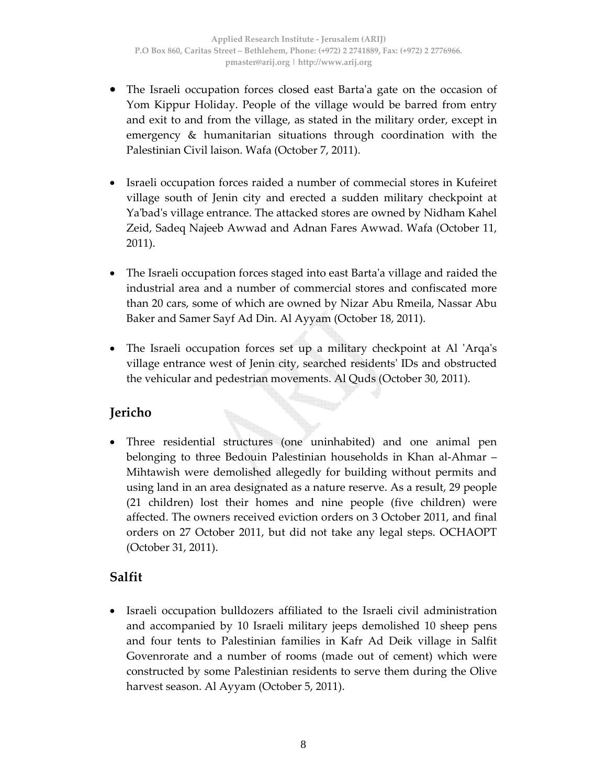- The Israeli occupation forces closed east Barta'a gate on the occasion of Yom Kippur Holiday. People of the village would be barred from entry and exit to and from the village, as stated in the military order, except in emergency & humanitarian situations through coordination with the Palestinian Civil laison. Wafa (October 7, 2011).
- Israeli occupation forces raided a number of commecial stores in Kufeiret village south of Jenin city and erected a sudden military checkpoint at Yaʹbadʹs village entrance. The attacked stores are owned by Nidham Kahel Zeid, Sadeq Najeeb Awwad and Adnan Fares Awwad. Wafa (October 11, 2011).
- The Israeli occupation forces staged into east Barta'a village and raided the industrial area and a number of commercial stores and confiscated more than 20 cars, some of which are owned by Nizar Abu Rmeila, Nassar Abu Baker and Samer Sayf Ad Din. Al Ayyam (October 18, 2011).
- The Israeli occupation forces set up a military checkpoint at Al 'Arqa's village entrance west of Jenin city, searched residentsʹ IDs and obstructed the vehicular and pedestrian movements. Al Quds (October 30, 2011).

## **Jericho**

• Three residential structures (one uninhabited) and one animal pen belonging to three Bedouin Palestinian households in Khan al‐Ahmar – Mihtawish were demolished allegedly for building without permits and using land in an area designated as a nature reserve. As a result, 29 people (21 children) lost their homes and nine people (five children) were affected. The owners received eviction orders on 3 October 2011, and final orders on 27 October 2011, but did not take any legal steps. OCHAOPT (October 31, 2011).

## **Salfit**

• Israeli occupation bulldozers affiliated to the Israeli civil administration and accompanied by 10 Israeli military jeeps demolished 10 sheep pens and four tents to Palestinian families in Kafr Ad Deik village in Salfit Govenrorate and a number of rooms (made out of cement) which were constructed by some Palestinian residents to serve them during the Olive harvest season. Al Ayyam (October 5, 2011).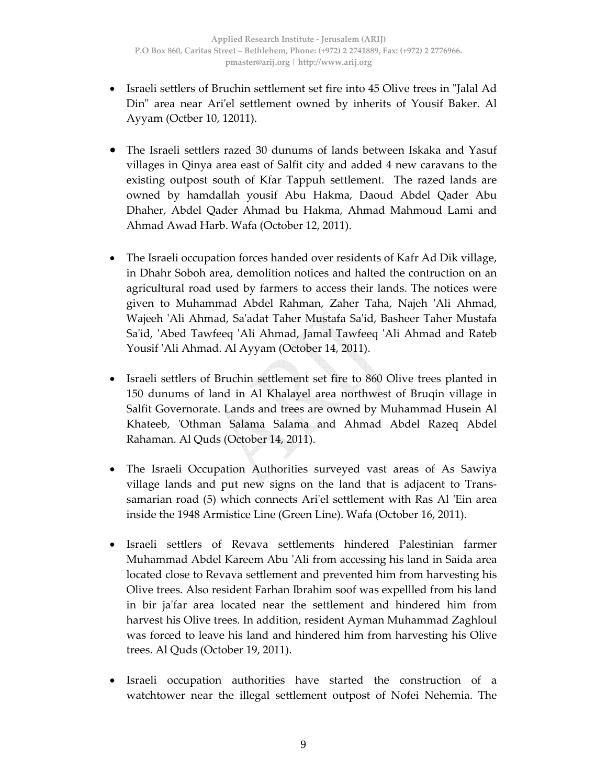- Israeli settlers of Bruchin settlement set fire into 45 Olive trees in "Jalal Ad Din" area near Ari'el settlement owned by inherits of Yousif Baker. Al Ayyam (Octber 10, 12011).
- The Israeli settlers razed 30 dunums of lands between Iskaka and Yasuf villages in Qinya area east of Salfit city and added 4 new caravans to the existing outpost south of Kfar Tappuh settlement. The razed lands are owned by hamdallah yousif Abu Hakma, Daoud Abdel Qader Abu Dhaher, Abdel Qader Ahmad bu Hakma, Ahmad Mahmoud Lami and Ahmad Awad Harb. Wafa (October 12, 2011).
- The Israeli occupation forces handed over residents of Kafr Ad Dik village, in Dhahr Soboh area, demolition notices and halted the contruction on an agricultural road used by farmers to access their lands. The notices were given to Muhammad Abdel Rahman, Zaher Taha, Najeh ʹAli Ahmad, Wajeeh ʹAli Ahmad, Saʹadat Taher Mustafa Saʹid, Basheer Taher Mustafa Sa'id, 'Abed Tawfeeq 'Ali Ahmad, Jamal Tawfeeq 'Ali Ahmad and Rateb Yousif ʹAli Ahmad. Al Ayyam (October 14, 2011).
- Israeli settlers of Bruchin settlement set fire to 860 Olive trees planted in 150 dunums of land in Al Khalayel area northwest of Bruqin village in Salfit Governorate. Lands and trees are owned by Muhammad Husein Al Khateeb, 'Othman Salama Salama and Ahmad Abdel Razeq Abdel Rahaman. Al Quds (October 14, 2011).
- The Israeli Occupation Authorities surveyed vast areas of As Sawiya village lands and put new signs on the land that is adjacent to Trans‐ samarian road (5) which connects Ari'el settlement with Ras Al 'Ein area inside the 1948 Armistice Line (Green Line). Wafa (October 16, 2011).
- Israeli settlers of Revava settlements hindered Palestinian farmer Muhammad Abdel Kareem Abu ʹAli from accessing his land in Saida area located close to Revava settlement and prevented him from harvesting his Olive trees. Also resident Farhan Ibrahim soof was expellled from his land in bir ja'far area located near the settlement and hindered him from harvest his Olive trees. In addition, resident Ayman Muhammad Zaghloul was forced to leave his land and hindered him from harvesting his Olive trees. Al Quds (October 19, 2011).
- Israeli occupation authorities have started the construction of a watchtower near the illegal settlement outpost of Nofei Nehemia. The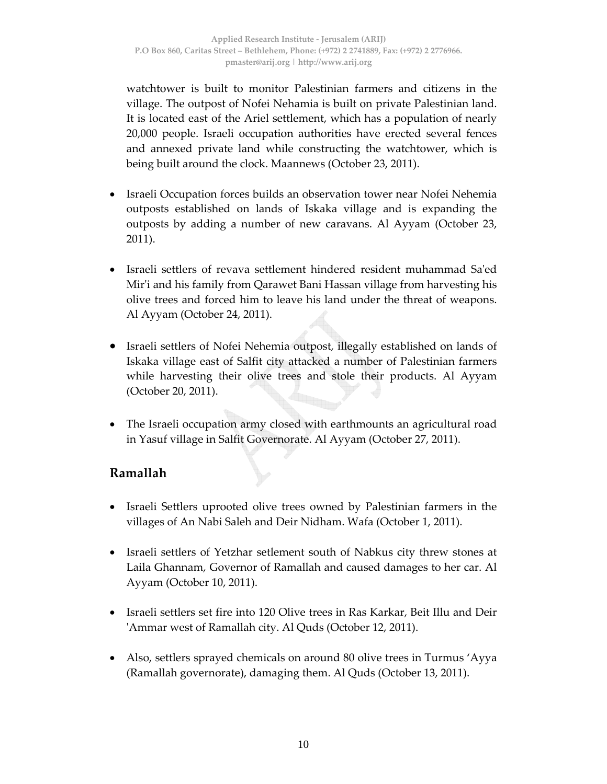watchtower is built to monitor Palestinian farmers and citizens in the village. The outpost of Nofei Nehamia is built on private Palestinian land. It is located east of the Ariel settlement, which has a population of nearly 20,000 people. Israeli occupation authorities have erected several fences and annexed private land while constructing the watchtower, which is being built around the clock. Maannews (October 23, 2011).

- Israeli Occupation forces builds an observation tower near Nofei Nehemia outposts established on lands of Iskaka village and is expanding the outposts by adding a number of new caravans. Al Ayyam (October 23, 2011).
- Israeli settlers of revava settlement hindered resident muhammad Saʹed Mir'i and his family from Qarawet Bani Hassan village from harvesting his olive trees and forced him to leave his land under the threat of weapons. Al Ayyam (October 24, 2011).
- Israeli settlers of Nofei Nehemia outpost, illegally established on lands of Iskaka village east of Salfit city attacked a number of Palestinian farmers while harvesting their olive trees and stole their products. Al Ayyam (October 20, 2011).
- The Israeli occupation army closed with earthmounts an agricultural road in Yasuf village in Salfit Governorate. Al Ayyam (October 27, 2011).

## **Ramallah**

- Israeli Settlers uprooted olive trees owned by Palestinian farmers in the villages of An Nabi Saleh and Deir Nidham. Wafa (October 1, 2011).
- Israeli settlers of Yetzhar setlement south of Nabkus city threw stones at Laila Ghannam, Governor of Ramallah and caused damages to her car. Al Ayyam (October 10, 2011).
- Israeli settlers set fire into 120 Olive trees in Ras Karkar, Beit Illu and Deir ʹAmmar west of Ramallah city. Al Quds (October 12, 2011).
- Also, settlers sprayed chemicals on around 80 olive trees in Turmus 'Ayya (Ramallah governorate), damaging them. Al Quds (October 13, 2011).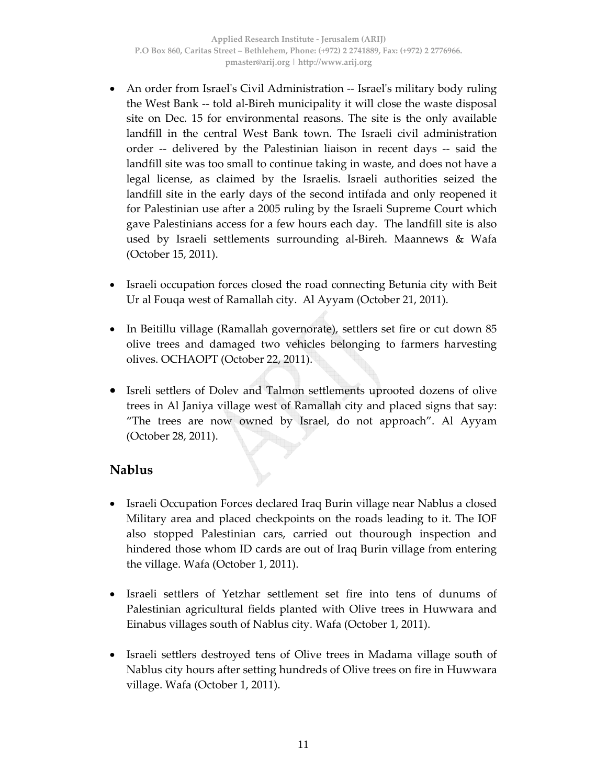- An order from Israel's Civil Administration -- Israel's military body ruling the West Bank ‐‐ told al‐Bireh municipality it will close the waste disposal site on Dec. 15 for environmental reasons. The site is the only available landfill in the central West Bank town. The Israeli civil administration order ‐‐ delivered by the Palestinian liaison in recent days ‐‐ said the landfill site was too small to continue taking in waste, and does not have a legal license, as claimed by the Israelis. Israeli authorities seized the landfill site in the early days of the second intifada and only reopened it for Palestinian use after a 2005 ruling by the Israeli Supreme Court which gave Palestinians access for a few hours each day. The landfill site is also used by Israeli settlements surrounding al‐Bireh. Maannews & Wafa (October 15, 2011).
- Israeli occupation forces closed the road connecting Betunia city with Beit Ur al Fouqa west of Ramallah city. Al Ayyam (October 21, 2011).
- In Beitillu village (Ramallah governorate), settlers set fire or cut down 85 olive trees and damaged two vehicles belonging to farmers harvesting olives. OCHAOPT (October 22, 2011).
- Isreli settlers of Dolev and Talmon settlements uprooted dozens of olive trees in Al Janiya village west of Ramallah city and placed signs that say: "The trees are now owned by Israel, do not approach". Al Ayyam (October 28, 2011).

## **Nablus**

- Israeli Occupation Forces declared Iraq Burin village near Nablus a closed Military area and placed checkpoints on the roads leading to it. The IOF also stopped Palestinian cars, carried out thourough inspection and hindered those whom ID cards are out of Iraq Burin village from entering the village. Wafa (October 1, 2011).
- Israeli settlers of Yetzhar settlement set fire into tens of dunums of Palestinian agricultural fields planted with Olive trees in Huwwara and Einabus villages south of Nablus city. Wafa (October 1, 2011).
- Israeli settlers destroyed tens of Olive trees in Madama village south of Nablus city hours after setting hundreds of Olive trees on fire in Huwwara village. Wafa (October 1, 2011).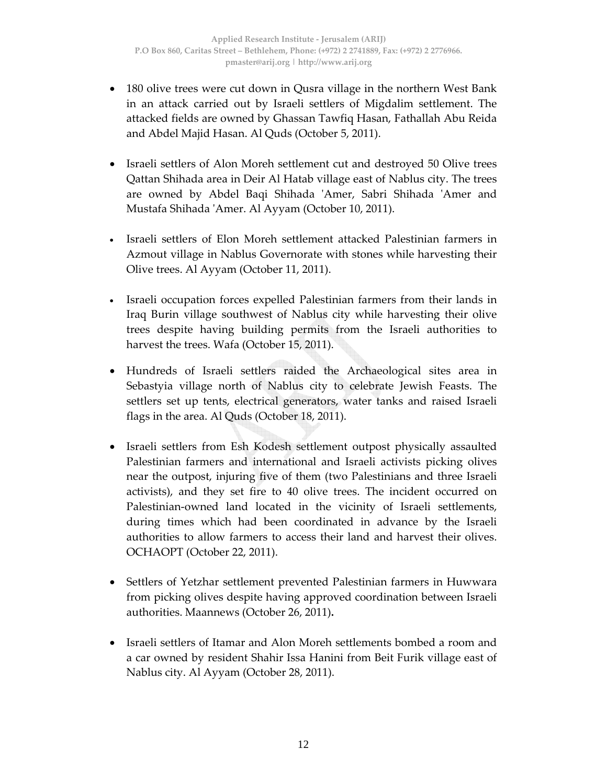- 180 olive trees were cut down in Qusra village in the northern West Bank in an attack carried out by Israeli settlers of Migdalim settlement. The attacked fields are owned by Ghassan Tawfiq Hasan, Fathallah Abu Reida and Abdel Majid Hasan. Al Quds (October 5, 2011).
- Israeli settlers of Alon Moreh settlement cut and destroyed 50 Olive trees Qattan Shihada area in Deir Al Hatab village east of Nablus city. The trees are owned by Abdel Baqi Shihada ʹAmer, Sabri Shihada ʹAmer and Mustafa Shihada ʹAmer. Al Ayyam (October 10, 2011).
- Israeli settlers of Elon Moreh settlement attacked Palestinian farmers in Azmout village in Nablus Governorate with stones while harvesting their Olive trees. Al Ayyam (October 11, 2011).
- Israeli occupation forces expelled Palestinian farmers from their lands in Iraq Burin village southwest of Nablus city while harvesting their olive trees despite having building permits from the Israeli authorities to harvest the trees. Wafa (October 15, 2011).
- Hundreds of Israeli settlers raided the Archaeological sites area in Sebastyia village north of Nablus city to celebrate Jewish Feasts. The settlers set up tents, electrical generators, water tanks and raised Israeli flags in the area. Al Quds (October 18, 2011).
- Israeli settlers from Esh Kodesh settlement outpost physically assaulted Palestinian farmers and international and Israeli activists picking olives near the outpost, injuring five of them (two Palestinians and three Israeli activists), and they set fire to 40 olive trees. The incident occurred on Palestinian-owned land located in the vicinity of Israeli settlements, during times which had been coordinated in advance by the Israeli authorities to allow farmers to access their land and harvest their olives. OCHAOPT (October 22, 2011).
- Settlers of Yetzhar settlement prevented Palestinian farmers in Huwwara from picking olives despite having approved coordination between Israeli authorities. Maannews (October 26, 2011)**.**
- Israeli settlers of Itamar and Alon Moreh settlements bombed a room and a car owned by resident Shahir Issa Hanini from Beit Furik village east of Nablus city. Al Ayyam (October 28, 2011).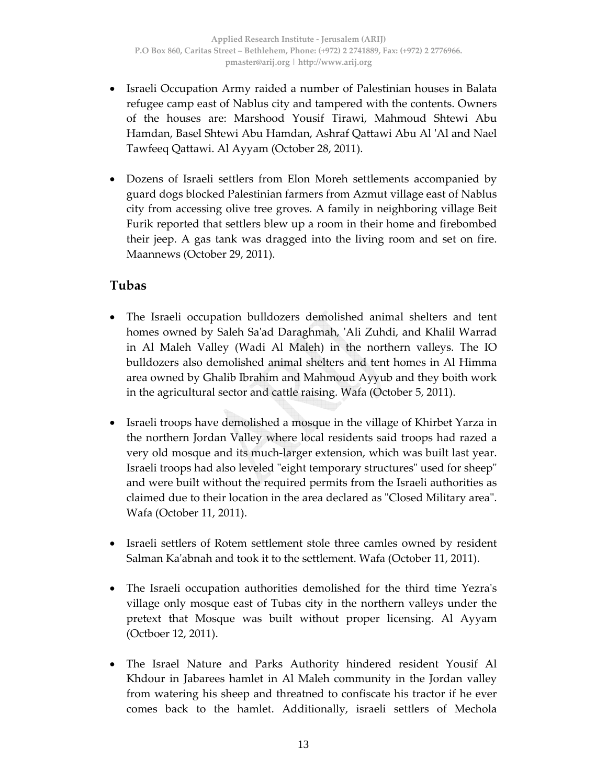- Israeli Occupation Army raided a number of Palestinian houses in Balata refugee camp east of Nablus city and tampered with the contents. Owners of the houses are: Marshood Yousif Tirawi, Mahmoud Shtewi Abu Hamdan, Basel Shtewi Abu Hamdan, Ashraf Qattawi Abu Al ʹAl and Nael Tawfeeq Qattawi. Al Ayyam (October 28, 2011).
- Dozens of Israeli settlers from Elon Moreh settlements accompanied by guard dogs blocked Palestinian farmers from Azmut village east of Nablus city from accessing olive tree groves. A family in neighboring village Beit Furik reported that settlers blew up a room in their home and firebombed their jeep. A gas tank was dragged into the living room and set on fire. Maannews (October 29, 2011).

## **Tubas**

- The Israeli occupation bulldozers demolished animal shelters and tent homes owned by Saleh Saʹad Daraghmah, ʹAli Zuhdi, and Khalil Warrad in Al Maleh Valley (Wadi Al Maleh) in the northern valleys. The IO bulldozers also demolished animal shelters and tent homes in Al Himma area owned by Ghalib Ibrahim and Mahmoud Ayyub and they boith work in the agricultural sector and cattle raising. Wafa (October 5, 2011).
- Israeli troops have demolished a mosque in the village of Khirbet Yarza in the northern Jordan Valley where local residents said troops had razed a very old mosque and its much‐larger extension, which was built last year. Israeli troops had also leveled "eight temporary structures" used for sheep" and were built without the required permits from the Israeli authorities as claimed due to their location in the area declared as "Closed Military area". Wafa (October 11, 2011).
- Israeli settlers of Rotem settlement stole three camles owned by resident Salman Kaʹabnah and took it to the settlement. Wafa (October 11, 2011).
- The Israeli occupation authorities demolished for the third time Yezra's village only mosque east of Tubas city in the northern valleys under the pretext that Mosque was built without proper licensing. Al Ayyam (Octboer 12, 2011).
- The Israel Nature and Parks Authority hindered resident Yousif Al Khdour in Jabarees hamlet in Al Maleh community in the Jordan valley from watering his sheep and threatned to confiscate his tractor if he ever comes back to the hamlet. Additionally, israeli settlers of Mechola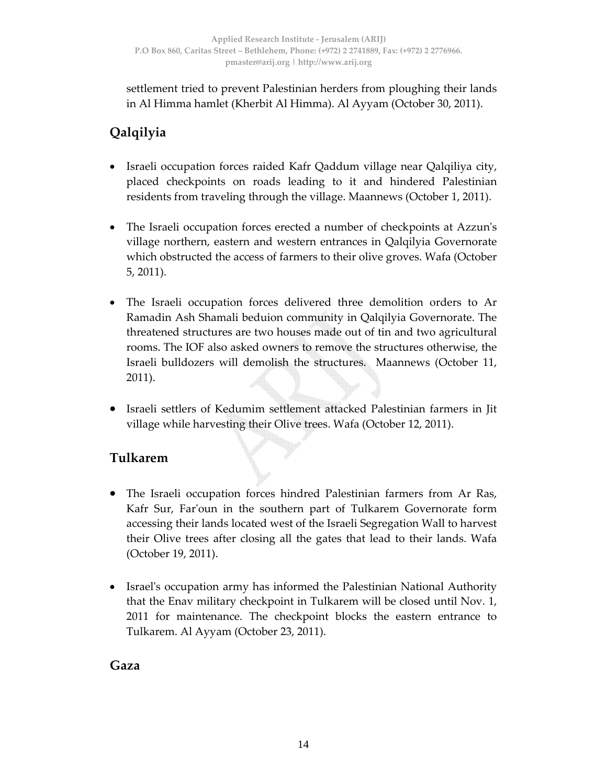settlement tried to prevent Palestinian herders from ploughing their lands in Al Himma hamlet (Kherbit Al Himma). Al Ayyam (October 30, 2011).

## **Qalqilyia**

- Israeli occupation forces raided Kafr Qaddum village near Qalqiliya city, placed checkpoints on roads leading to it and hindered Palestinian residents from traveling through the village. Maannews (October 1, 2011).
- The Israeli occupation forces erected a number of checkpoints at Azzun's village northern, eastern and western entrances in Qalqilyia Governorate which obstructed the access of farmers to their olive groves. Wafa (October 5, 2011).
- The Israeli occupation forces delivered three demolition orders to Ar Ramadin Ash Shamali beduion community in Qalqilyia Governorate. The threatened structures are two houses made out of tin and two agricultural rooms. The IOF also asked owners to remove the structures otherwise, the Israeli bulldozers will demolish the structures. Maannews (October 11, 2011).
- Israeli settlers of Kedumim settlement attacked Palestinian farmers in Jit village while harvesting their Olive trees. Wafa (October 12, 2011).

## **Tulkarem**

- The Israeli occupation forces hindred Palestinian farmers from Ar Ras, Kafr Sur, Far'oun in the southern part of Tulkarem Governorate form accessing their lands located west of the Israeli Segregation Wall to harvest their Olive trees after closing all the gates that lead to their lands. Wafa (October 19, 2011).
- Israel's occupation army has informed the Palestinian National Authority that the Enav military checkpoint in Tulkarem will be closed until Nov. 1, 2011 for maintenance. The checkpoint blocks the eastern entrance to Tulkarem. Al Ayyam (October 23, 2011).

**Gaza**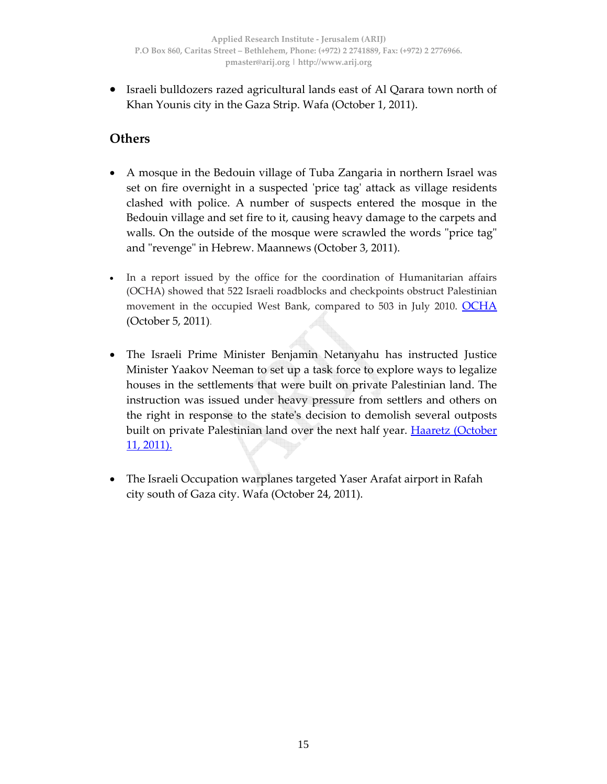• Israeli bulldozers razed agricultural lands east of Al Qarara town north of Khan Younis city in the Gaza Strip. Wafa (October 1, 2011).

## **Others**

- A mosque in the Bedouin village of Tuba Zangaria in northern Israel was set on fire overnight in a suspected 'price tag' attack as village residents clashed with police. A number of suspects entered the mosque in the Bedouin village and set fire to it, causing heavy damage to the carpets and walls. On the outside of the mosque were scrawled the words "price tag" and "revenge" in Hebrew. Maannews (October 3, 2011).
- In a report issued by the office for the coordination of Humanitarian affairs (OCHA) showed that 522 Israeli roadblocks and checkpoints obstruct Palestinian movement in the occupied West Bank, compared to 503 in July 2010. OCHA (October 5, 2011).
- The Israeli Prime Minister Benjamin Netanyahu has instructed Justice Minister Yaakov Neeman to set up a task force to explore ways to legalize houses in the settlements that were built on private Palestinian land. The instruction was issued under heavy pressure from settlers and others on the right in response to the stateʹs decision to demolish several outposts built on private Palestinian land over the next half year. Haaretz (October 11, 2011).
- The Israeli Occupation warplanes targeted Yaser Arafat airport in Rafah city south of Gaza city. Wafa (October 24, 2011).